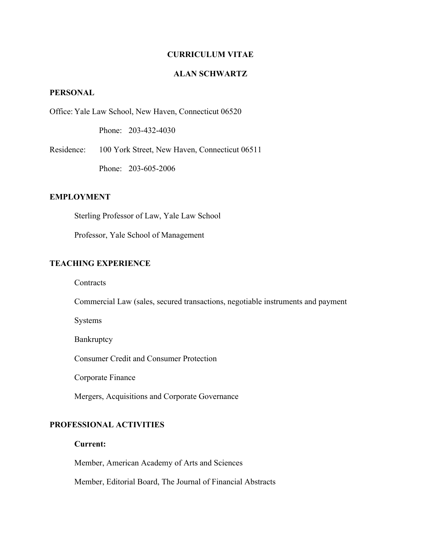# **CURRICULUM VITAE**

# **ALAN SCHWARTZ**

# **PERSONAL**

Office: Yale Law School, New Haven, Connecticut 06520

Phone: 203-432-4030

Residence: 100 York Street, New Haven, Connecticut 06511

Phone: 203-605-2006

### **EMPLOYMENT**

Sterling Professor of Law, Yale Law School

Professor, Yale School of Management

# **TEACHING EXPERIENCE**

**Contracts** 

Commercial Law (sales, secured transactions, negotiable instruments and payment

Systems

Bankruptcy

Consumer Credit and Consumer Protection

Corporate Finance

Mergers, Acquisitions and Corporate Governance

# **PROFESSIONAL ACTIVITIES**

# **Current:**

Member, American Academy of Arts and Sciences

Member, Editorial Board, The Journal of Financial Abstracts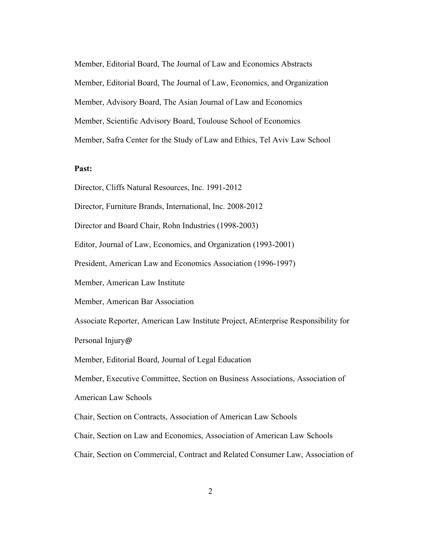Member, Editorial Board, The Journal of Law and Economics Abstracts Member, Editorial Board, The Journal of Law, Economics, and Organization Member, Advisory Board, The Asian Journal of Law and Economics Member, Scientific Advisory Board, Toulouse School of Economics Member, Safra Center for the Study of Law and Ethics, Tel Aviv Law School

### **Past:**

Director, Cliffs Natural Resources, Inc. 1991-2012

Director, Furniture Brands, International, Inc. 2008-2012

Director and Board Chair, Rohn Industries (1998-2003)

Editor, Journal of Law, Economics, and Organization (1993-2001)

President, American Law and Economics Association (1996-1997)

Member, American Law Institute

Member, American Bar Association

Associate Reporter, American Law Institute Project, AEnterprise Responsibility for Personal Injury@

Member, Editorial Board, Journal of Legal Education

Member, Executive Committee, Section on Business Associations, Association of

American Law Schools

Chair, Section on Contracts, Association of American Law Schools

Chair, Section on Law and Economics, Association of American Law Schools

Chair, Section on Commercial, Contract and Related Consumer Law, Association of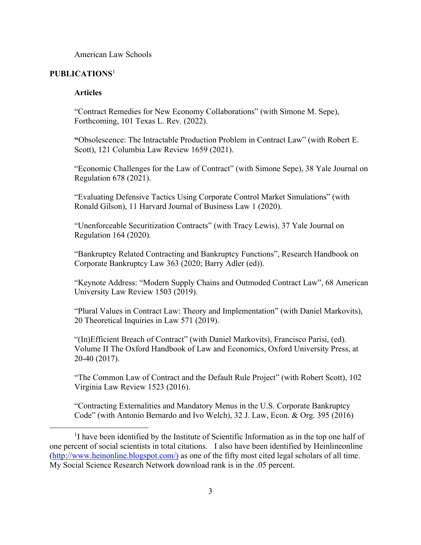American Law Schools

# **PUBLICATIONS**<sup>1</sup>

#### **Articles**

"Contract Remedies for New Economy Collaborations" (with Simone M. Sepe), Forthcoming, 101 Texas L. Rev. (2022).

**"**Obsolescence: The Intractable Production Problem in Contract Law" (with Robert E. Scott), 121 Columbia Law Review 1659 (2021).

"Economic Challenges for the Law of Contract" (with Simone Sepe), 38 Yale Journal on Regulation 678 (2021).

"Evaluating Defensive Tactics Using Corporate Control Market Simulations" (with Ronald Gilson), 11 Harvard Journal of Business Law 1 (2020).

"Unenforceable Securitization Contracts" (with Tracy Lewis), 37 Yale Journal on Regulation 164 (2020).

"Bankruptcy Related Contracting and Bankruptcy Functions", Research Handbook on Corporate Bankruptcy Law 363 (2020; Barry Adler (ed)).

"Keynote Address: "Modern Supply Chains and Outmoded Contract Law", 68 American University Law Review 1503 (2019).

"Plural Values in Contract Law: Theory and Implementation" (with Daniel Markovits), 20 Theoretical Inquiries in Law 571 (2019).

"(In)Efficient Breach of Contract" (with Daniel Markovits), Francisco Parisi, (ed). Volume II The Oxford Handbook of Law and Economics, Oxford University Press, at 20-40 (2017).

"The Common Law of Contract and the Default Rule Project" (with Robert Scott), 102 Virginia Law Review 1523 (2016).

"Contracting Externalities and Mandatory Menus in the U.S. Corporate Bankruptcy Code" (with Antonio Bernardo and Ivo Welch), 32 J. Law, Econ. & Org. 395 (2016)

<sup>&</sup>lt;sup>1</sup>I have been identified by the Institute of Scientific Information as in the top one half of one percent of social scientists in total citations. I also have been identified by Heinlineonline (http://www.heinonline.blogspot.com/) as one of the fifty most cited legal scholars of all time. My Social Science Research Network download rank is in the .05 percent.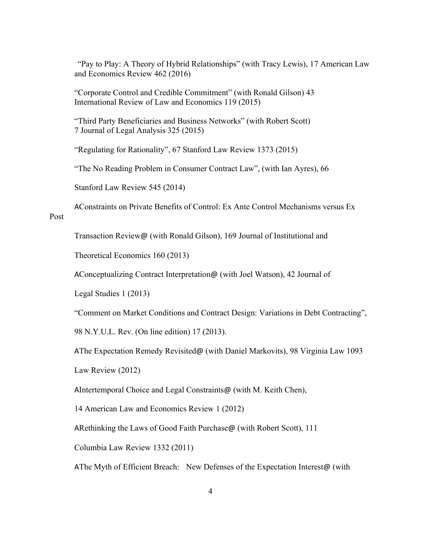"Pay to Play: A Theory of Hybrid Relationships" (with Tracy Lewis), 17 American Law and Economics Review 462 (2016)

"Corporate Control and Credible Commitment" (with Ronald Gilson) 43 International Review of Law and Economics 119 (2015)

"Third Party Beneficiaries and Business Networks" (with Robert Scott) 7 Journal of Legal Analysis 325 (2015)

"Regulating for Rationality", 67 Stanford Law Review 1373 (2015)

"The No Reading Problem in Consumer Contract Law", (with Ian Ayres), 66

Stanford Law Review 545 (2014)

AConstraints on Private Benefits of Control: Ex Ante Control Mechanisms versus Ex Post

Transaction Review@ (with Ronald Gilson), 169 Journal of Institutional and

Theoretical Economics 160 (2013)

AConceptualizing Contract Interpretation@ (with Joel Watson), 42 Journal of

Legal Studies 1 (2013)

"Comment on Market Conditions and Contract Design: Variations in Debt Contracting",

98 N.Y.U.L. Rev. (On line edition) 17 (2013).

AThe Expectation Remedy Revisited@ (with Daniel Markovits), 98 Virginia Law 1093

Law Review (2012)

AIntertemporal Choice and Legal Constraints@ (with M. Keith Chen),

14 American Law and Economics Review 1 (2012)

ARethinking the Laws of Good Faith Purchase@ (with Robert Scott), 111

Columbia Law Review 1332 (2011)

AThe Myth of Efficient Breach: New Defenses of the Expectation Interest@ (with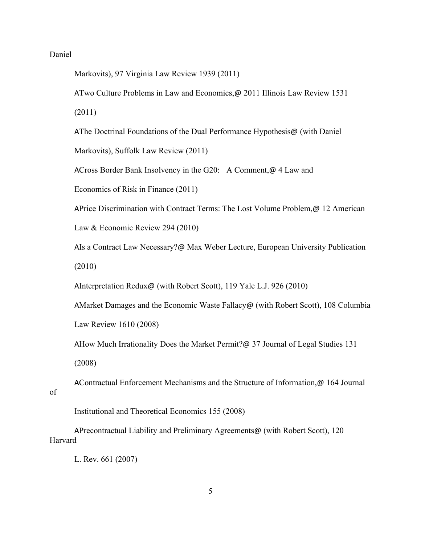# Daniel

Markovits), 97 Virginia Law Review 1939 (2011)

ATwo Culture Problems in Law and Economics,@ 2011 Illinois Law Review 1531

(2011)

AThe Doctrinal Foundations of the Dual Performance Hypothesis@ (with Daniel Markovits), Suffolk Law Review (2011)

ACross Border Bank Insolvency in the G20: A Comment,@ 4 Law and

Economics of Risk in Finance (2011)

APrice Discrimination with Contract Terms: The Lost Volume Problem,@ 12 American Law & Economic Review 294 (2010)

AIs a Contract Law Necessary?@ Max Weber Lecture, European University Publication (2010)

AInterpretation Redux@ (with Robert Scott), 119 Yale L.J. 926 (2010)

AMarket Damages and the Economic Waste Fallacy@ (with Robert Scott), 108 Columbia Law Review 1610 (2008)

AHow Much Irrationality Does the Market Permit?@ 37 Journal of Legal Studies 131 (2008)

AContractual Enforcement Mechanisms and the Structure of Information,@ 164 Journal of

Institutional and Theoretical Economics 155 (2008)

APrecontractual Liability and Preliminary Agreements@ (with Robert Scott), 120 Harvard

L. Rev. 661 (2007)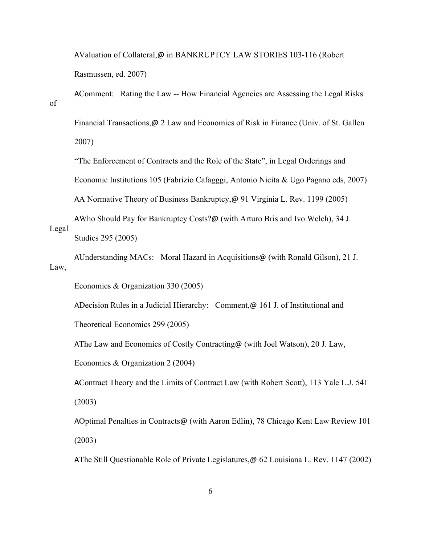AValuation of Collateral,@ in BANKRUPTCY LAW STORIES 103-116 (Robert Rasmussen, ed. 2007)

AComment: Rating the Law -- How Financial Agencies are Assessing the Legal Risks of

Financial Transactions,@ 2 Law and Economics of Risk in Finance (Univ. of St. Gallen 2007)

"The Enforcement of Contracts and the Role of the State", in Legal Orderings and

Economic Institutions 105 (Fabrizio Cafagggi, Antonio Nicita & Ugo Pagano eds, 2007)

AA Normative Theory of Business Bankruptcy,@ 91 Virginia L. Rev. 1199 (2005)

AWho Should Pay for Bankruptcy Costs?@ (with Arturo Bris and Ivo Welch), 34 J. Legal Studies 295 (2005)

AUnderstanding MACs: Moral Hazard in Acquisitions@ (with Ronald Gilson), 21 J. Law,

Economics & Organization 330 (2005)

ADecision Rules in a Judicial Hierarchy: Comment,@ 161 J. of Institutional and

Theoretical Economics 299 (2005)

AThe Law and Economics of Costly Contracting@ (with Joel Watson), 20 J. Law,

Economics & Organization 2 (2004)

AContract Theory and the Limits of Contract Law (with Robert Scott), 113 Yale L.J. 541 (2003)

AOptimal Penalties in Contracts@ (with Aaron Edlin), 78 Chicago Kent Law Review 101 (2003)

AThe Still Questionable Role of Private Legislatures,@ 62 Louisiana L. Rev. 1147 (2002)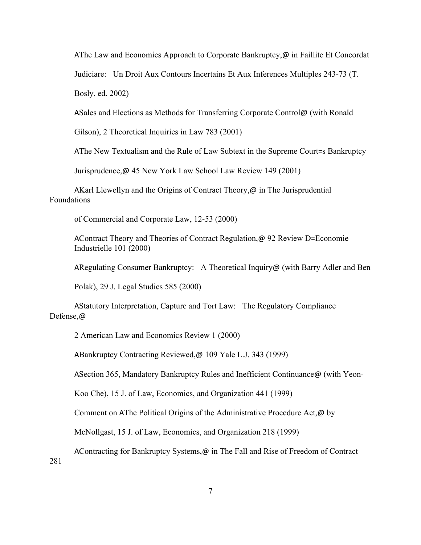AThe Law and Economics Approach to Corporate Bankruptcy,@ in Faillite Et Concordat

Judiciare: Un Droit Aux Contours Incertains Et Aux Inferences Multiples 243-73 (T.

Bosly, ed. 2002)

ASales and Elections as Methods for Transferring Corporate Control@ (with Ronald

Gilson), 2 Theoretical Inquiries in Law 783 (2001)

AThe New Textualism and the Rule of Law Subtext in the Supreme Court=s Bankruptcy

Jurisprudence,@ 45 New York Law School Law Review 149 (2001)

AKarl Llewellyn and the Origins of Contract Theory,@ in The Jurisprudential Foundations

of Commercial and Corporate Law, 12-53 (2000)

AContract Theory and Theories of Contract Regulation,@ 92 Review D=Economie Industrielle 101 (2000)

ARegulating Consumer Bankruptcy: A Theoretical Inquiry@ (with Barry Adler and Ben

Polak), 29 J. Legal Studies 585 (2000)

AStatutory Interpretation, Capture and Tort Law: The Regulatory Compliance Defense,@

2 American Law and Economics Review 1 (2000)

ABankruptcy Contracting Reviewed,@ 109 Yale L.J. 343 (1999)

ASection 365, Mandatory Bankruptcy Rules and Inefficient Continuance@ (with Yeon-

Koo Che), 15 J. of Law, Economics, and Organization 441 (1999)

Comment on AThe Political Origins of the Administrative Procedure Act,@ by

McNollgast, 15 J. of Law, Economics, and Organization 218 (1999)

AContracting for Bankruptcy Systems,@ in The Fall and Rise of Freedom of Contract

281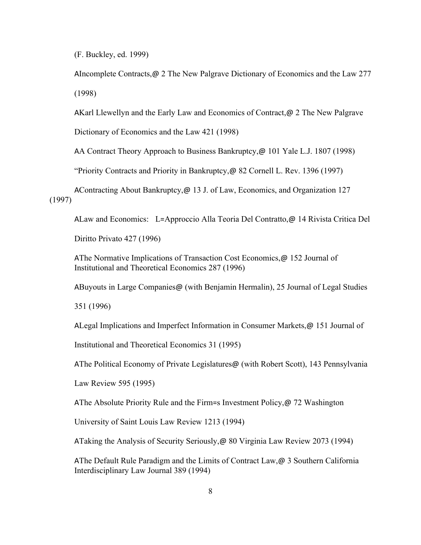(F. Buckley, ed. 1999)

AIncomplete Contracts,@ 2 The New Palgrave Dictionary of Economics and the Law 277 (1998)

AKarl Llewellyn and the Early Law and Economics of Contract,@ 2 The New Palgrave

Dictionary of Economics and the Law 421 (1998)

AA Contract Theory Approach to Business Bankruptcy,@ 101 Yale L.J. 1807 (1998)

"Priority Contracts and Priority in Bankruptcy,@ 82 Cornell L. Rev. 1396 (1997)

AContracting About Bankruptcy,@ 13 J. of Law, Economics, and Organization 127 (1997)

ALaw and Economics: L=Approccio Alla Teoria Del Contratto,@ 14 Rivista Critica Del

Diritto Privato 427 (1996)

AThe Normative Implications of Transaction Cost Economics, @ 152 Journal of Institutional and Theoretical Economics 287 (1996)

ABuyouts in Large Companies@ (with Benjamin Hermalin), 25 Journal of Legal Studies

351 (1996)

ALegal Implications and Imperfect Information in Consumer Markets,@ 151 Journal of

Institutional and Theoretical Economics 31 (1995)

AThe Political Economy of Private Legislatures@ (with Robert Scott), 143 Pennsylvania

Law Review 595 (1995)

AThe Absolute Priority Rule and the Firm=s Investment Policy,@ 72 Washington

University of Saint Louis Law Review 1213 (1994)

ATaking the Analysis of Security Seriously,@ 80 Virginia Law Review 2073 (1994)

AThe Default Rule Paradigm and the Limits of Contract Law,@ 3 Southern California Interdisciplinary Law Journal 389 (1994)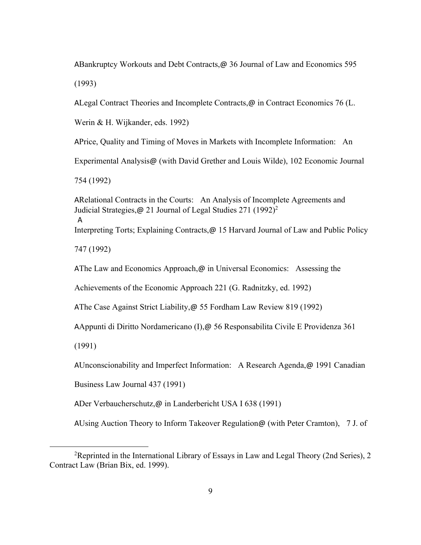ABankruptcy Workouts and Debt Contracts,@ 36 Journal of Law and Economics 595 (1993)

ALegal Contract Theories and Incomplete Contracts, $\omega$  in Contract Economics 76 (L.

Werin & H. Wijkander, eds. 1992)

APrice, Quality and Timing of Moves in Markets with Incomplete Information: An

Experimental Analysis@ (with David Grether and Louis Wilde), 102 Economic Journal

754 (1992)

ARelational Contracts in the Courts: An Analysis of Incomplete Agreements and Judicial Strategies, @ 21 Journal of Legal Studies 271 (1992)<sup>2</sup> A Interpreting Torts; Explaining Contracts,@ 15 Harvard Journal of Law and Public Policy

747 (1992)

AThe Law and Economics Approach,  $\omega$  in Universal Economics: Assessing the

Achievements of the Economic Approach 221 (G. Radnitzky, ed. 1992)

AThe Case Against Strict Liability,@ 55 Fordham Law Review 819 (1992)

AAppunti di Diritto Nordamericano (I),@ 56 Responsabilita Civile E Providenza 361

(1991)

AUnconscionability and Imperfect Information: A Research Agenda,@ 1991 Canadian

Business Law Journal 437 (1991)

ADer Verbaucherschutz,@ in Landerbericht USA I 638 (1991)

AUsing Auction Theory to Inform Takeover Regulation@ (with Peter Cramton), 7 J. of

<sup>2</sup>Reprinted in the International Library of Essays in Law and Legal Theory (2nd Series), 2 Contract Law (Brian Bix, ed. 1999).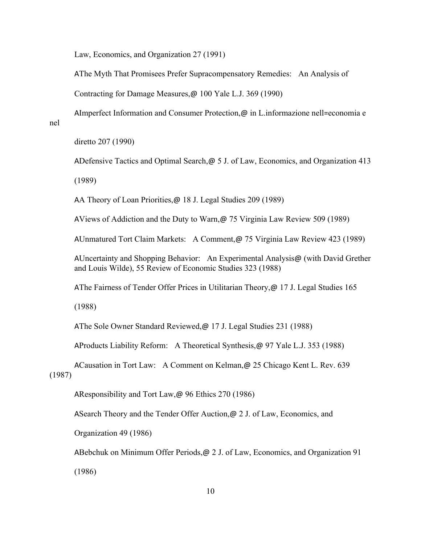Law, Economics, and Organization 27 (1991)

AThe Myth That Promisees Prefer Supracompensatory Remedies: An Analysis of

Contracting for Damage Measures,@ 100 Yale L.J. 369 (1990)

AImperfect Information and Consumer Protection,@ in L.informazione nell=economia e

nel

diretto 207 (1990)

ADefensive Tactics and Optimal Search,@ 5 J. of Law, Economics, and Organization 413

(1989)

AA Theory of Loan Priorities, @ 18 J. Legal Studies 209 (1989)

AViews of Addiction and the Duty to Warn,@ 75 Virginia Law Review 509 (1989)

AUnmatured Tort Claim Markets: A Comment,@ 75 Virginia Law Review 423 (1989)

AUncertainty and Shopping Behavior: An Experimental Analysis@ (with David Grether and Louis Wilde), 55 Review of Economic Studies 323 (1988)

AThe Fairness of Tender Offer Prices in Utilitarian Theory, @ 17 J. Legal Studies 165

(1988)

AThe Sole Owner Standard Reviewed,@ 17 J. Legal Studies 231 (1988)

AProducts Liability Reform: A Theoretical Synthesis,@ 97 Yale L.J. 353 (1988)

ACausation in Tort Law: A Comment on Kelman,@ 25 Chicago Kent L. Rev. 639 (1987)

AResponsibility and Tort Law,@ 96 Ethics 270 (1986)

ASearch Theory and the Tender Offer Auction,  $\omega$  2 J. of Law, Economics, and

Organization 49 (1986)

ABebchuk on Minimum Offer Periods, @ 2 J. of Law, Economics, and Organization 91 (1986)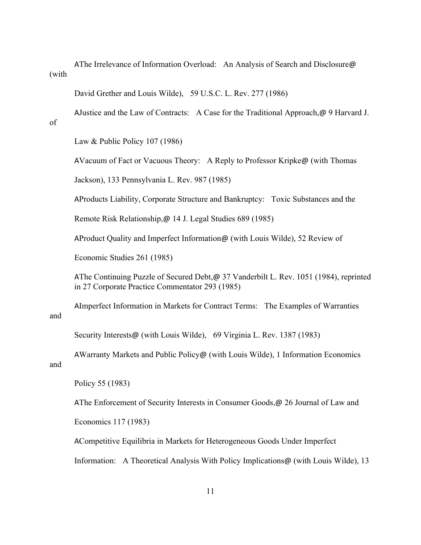AThe Irrelevance of Information Overload: An Analysis of Search and Disclosure@ (with

David Grether and Louis Wilde), 59 U.S.C. L. Rev. 277 (1986)

AJustice and the Law of Contracts: A Case for the Traditional Approach,@ 9 Harvard J.

of

Law & Public Policy 107 (1986)

AVacuum of Fact or Vacuous Theory: A Reply to Professor Kripke@ (with Thomas

Jackson), 133 Pennsylvania L. Rev. 987 (1985)

AProducts Liability, Corporate Structure and Bankruptcy: Toxic Substances and the

Remote Risk Relationship,@ 14 J. Legal Studies 689 (1985)

AProduct Quality and Imperfect Information@ (with Louis Wilde), 52 Review of

Economic Studies 261 (1985)

AThe Continuing Puzzle of Secured Debt,@ 37 Vanderbilt L. Rev. 1051 (1984), reprinted in 27 Corporate Practice Commentator 293 (1985)

AImperfect Information in Markets for Contract Terms: The Examples of Warranties and

Security Interests@ (with Louis Wilde), 69 Virginia L. Rev. 1387 (1983)

AWarranty Markets and Public Policy@ (with Louis Wilde), 1 Information Economics and

Policy 55 (1983)

AThe Enforcement of Security Interests in Consumer Goods,@ 26 Journal of Law and

Economics 117 (1983)

ACompetitive Equilibria in Markets for Heterogeneous Goods Under Imperfect

Information: A Theoretical Analysis With Policy Implications@ (with Louis Wilde), 13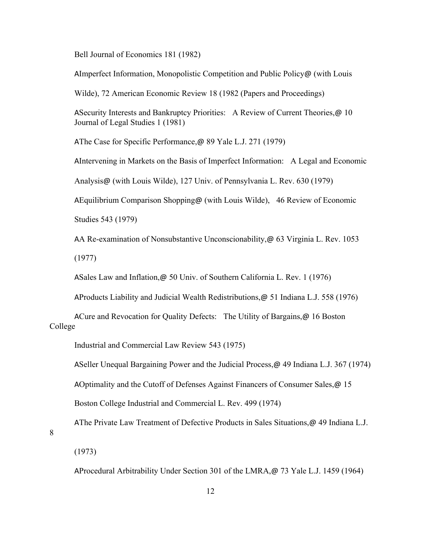Bell Journal of Economics 181 (1982)

AImperfect Information, Monopolistic Competition and Public Policy@ (with Louis

Wilde), 72 American Economic Review 18 (1982 (Papers and Proceedings)

ASecurity Interests and Bankruptcy Priorities: A Review of Current Theories, @ 10 Journal of Legal Studies 1 (1981)

AThe Case for Specific Performance,@ 89 Yale L.J. 271 (1979)

AIntervening in Markets on the Basis of Imperfect Information: A Legal and Economic

Analysis@ (with Louis Wilde), 127 Univ. of Pennsylvania L. Rev. 630 (1979)

AEquilibrium Comparison Shopping@ (with Louis Wilde), 46 Review of Economic

Studies 543 (1979)

AA Re-examination of Nonsubstantive Unconscionability,@ 63 Virginia L. Rev. 1053 (1977)

ASales Law and Inflation,@ 50 Univ. of Southern California L. Rev. 1 (1976)

AProducts Liability and Judicial Wealth Redistributions,@ 51 Indiana L.J. 558 (1976)

ACure and Revocation for Quality Defects: The Utility of Bargains, @ 16 Boston College

Industrial and Commercial Law Review 543 (1975)

ASeller Unequal Bargaining Power and the Judicial Process,@ 49 Indiana L.J. 367 (1974)

AOptimality and the Cutoff of Defenses Against Financers of Consumer Sales,@ 15

Boston College Industrial and Commercial L. Rev. 499 (1974)

AThe Private Law Treatment of Defective Products in Sales Situations,@ 49 Indiana L.J.

8

(1973)

AProcedural Arbitrability Under Section 301 of the LMRA,@ 73 Yale L.J. 1459 (1964)